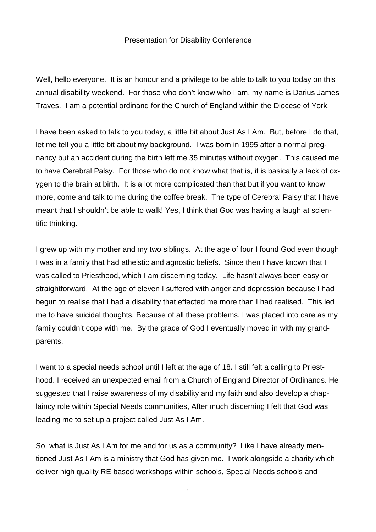## Presentation for Disability Conference

Well, hello everyone. It is an honour and a privilege to be able to talk to you today on this annual disability weekend. For those who don't know who I am, my name is Darius James Traves. I am a potential ordinand for the Church of England within the Diocese of York.

I have been asked to talk to you today, a little bit about Just As I Am. But, before I do that, let me tell you a little bit about my background. I was born in 1995 after a normal pregnancy but an accident during the birth left me 35 minutes without oxygen. This caused me to have Cerebral Palsy. For those who do not know what that is, it is basically a lack of oxygen to the brain at birth. It is a lot more complicated than that but if you want to know more, come and talk to me during the coffee break. The type of Cerebral Palsy that I have meant that I shouldn't be able to walk! Yes, I think that God was having a laugh at scientific thinking.

I grew up with my mother and my two siblings. At the age of four I found God even though I was in a family that had atheistic and agnostic beliefs. Since then I have known that I was called to Priesthood, which I am discerning today. Life hasn't always been easy or straightforward. At the age of eleven I suffered with anger and depression because I had begun to realise that I had a disability that effected me more than I had realised. This led me to have suicidal thoughts. Because of all these problems, I was placed into care as my family couldn't cope with me. By the grace of God I eventually moved in with my grandparents.

I went to a special needs school until I left at the age of 18. I still felt a calling to Priesthood. I received an unexpected email from a Church of England Director of Ordinands. He suggested that I raise awareness of my disability and my faith and also develop a chaplaincy role within Special Needs communities, After much discerning I felt that God was leading me to set up a project called Just As I Am.

So, what is Just As I Am for me and for us as a community? Like I have already mentioned Just As I Am is a ministry that God has given me. I work alongside a charity which deliver high quality RE based workshops within schools, Special Needs schools and

1